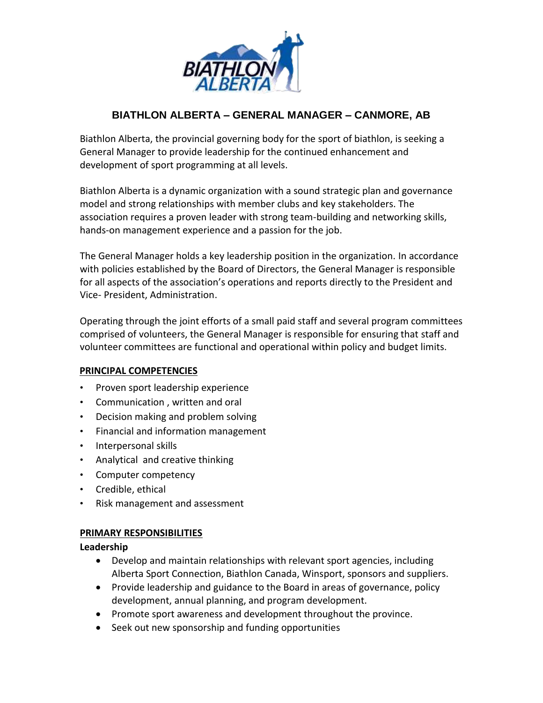

# **BIATHLON ALBERTA – GENERAL MANAGER – CANMORE, AB**

Biathlon Alberta, the provincial governing body for the sport of biathlon, is seeking a General Manager to provide leadership for the continued enhancement and development of sport programming at all levels.

Biathlon Alberta is a dynamic organization with a sound strategic plan and governance model and strong relationships with member clubs and key stakeholders. The association requires a proven leader with strong team-building and networking skills, hands-on management experience and a passion for the job.

The General Manager holds a key leadership position in the organization. In accordance with policies established by the Board of Directors, the General Manager is responsible for all aspects of the association's operations and reports directly to the President and Vice- President, Administration.

Operating through the joint efforts of a small paid staff and several program committees comprised of volunteers, the General Manager is responsible for ensuring that staff and volunteer committees are functional and operational within policy and budget limits.

# **PRINCIPAL COMPETENCIES**

- Proven sport leadership experience
- Communication , written and oral
- Decision making and problem solving
- Financial and information management
- Interpersonal skills
- Analytical and creative thinking
- Computer competency
- Credible, ethical
- Risk management and assessment

#### **PRIMARY RESPONSIBILITIES**

**Leadership**

- Develop and maintain relationships with relevant sport agencies, including Alberta Sport Connection, Biathlon Canada, Winsport, sponsors and suppliers.
- Provide leadership and guidance to the Board in areas of governance, policy development, annual planning, and program development.
- Promote sport awareness and development throughout the province.
- Seek out new sponsorship and funding opportunities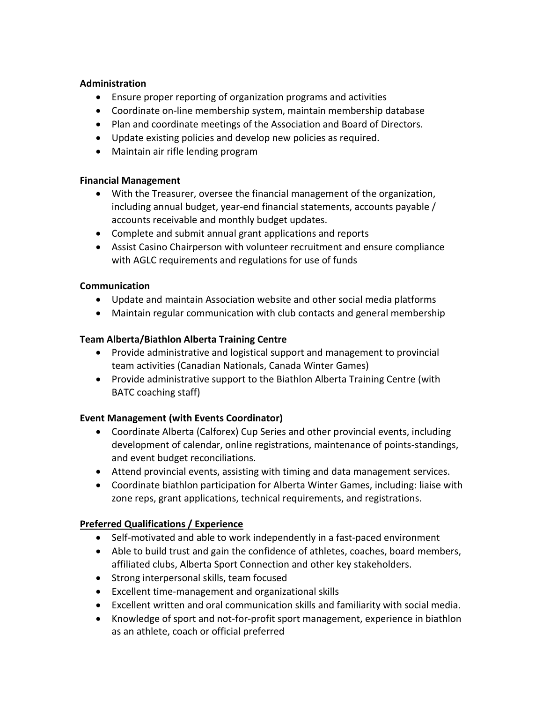#### **Administration**

- Ensure proper reporting of organization programs and activities
- Coordinate on-line membership system, maintain membership database
- Plan and coordinate meetings of the Association and Board of Directors.
- Update existing policies and develop new policies as required.
- Maintain air rifle lending program

#### **Financial Management**

- With the Treasurer, oversee the financial management of the organization, including annual budget, year-end financial statements, accounts payable / accounts receivable and monthly budget updates.
- Complete and submit annual grant applications and reports
- Assist Casino Chairperson with volunteer recruitment and ensure compliance with AGLC requirements and regulations for use of funds

# **Communication**

- Update and maintain Association website and other social media platforms
- Maintain regular communication with club contacts and general membership

# **Team Alberta/Biathlon Alberta Training Centre**

- Provide administrative and logistical support and management to provincial team activities (Canadian Nationals, Canada Winter Games)
- Provide administrative support to the Biathlon Alberta Training Centre (with BATC coaching staff)

# **Event Management (with Events Coordinator)**

- Coordinate Alberta (Calforex) Cup Series and other provincial events, including development of calendar, online registrations, maintenance of points-standings, and event budget reconciliations.
- Attend provincial events, assisting with timing and data management services.
- Coordinate biathlon participation for Alberta Winter Games, including: liaise with zone reps, grant applications, technical requirements, and registrations.

# **Preferred Qualifications / Experience**

- Self-motivated and able to work independently in a fast-paced environment
- Able to build trust and gain the confidence of athletes, coaches, board members, affiliated clubs, Alberta Sport Connection and other key stakeholders.
- Strong interpersonal skills, team focused
- Excellent time-management and organizational skills
- Excellent written and oral communication skills and familiarity with social media.
- Knowledge of sport and not-for-profit sport management, experience in biathlon as an athlete, coach or official preferred